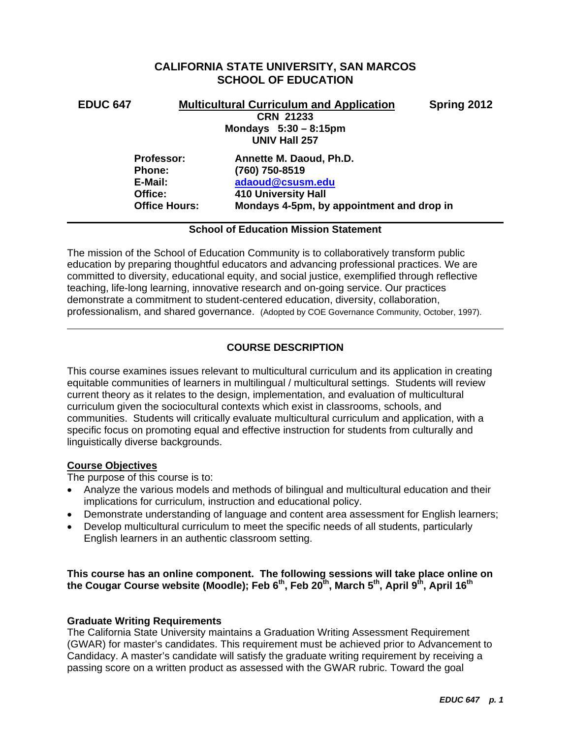# **CALIFORNIA STATE UNIVERSITY, SAN MARCOS SCHOOL OF EDUCATION**

# **EDUC 647 Multicultural Curriculum and Application Spring 2012**

**CRN 21233 Mondays 5:30 – 8:15pm UNIV Hall 257** 

 **E-Mail: adaoud@csusm.edu Office: 410 University Hall 410 University Hall Professor: Annette M. Daoud, Ph.D. Phone: (760) 750-8519 Office Hours: Mondays 4-5pm, by appointment and drop in** 

# **School of Education Mission Statement**

The mission of the School of Education Community is to collaboratively transform public education by preparing thoughtful educators and advancing professional practices. We are committed to diversity, educational equity, and social justice, exemplified through reflective teaching, life-long learning, innovative research and on-going service. Our practices demonstrate a commitment to student-centered education, diversity, collaboration, professionalism, and shared governance. (Adopted by COE Governance Community, October, 1997).

# **COURSE DESCRIPTION**

This course examines issues relevant to multicultural curriculum and its application in creating equitable communities of learners in multilingual / multicultural settings. Students will review current theory as it relates to the design, implementation, and evaluation of multicultural curriculum given the sociocultural contexts which exist in classrooms, schools, and communities. Students will critically evaluate multicultural curriculum and application, with a specific focus on promoting equal and effective instruction for students from culturally and linguistically diverse backgrounds.

# **Course Objectives**

The purpose of this course is to:

- Analyze the various models and methods of bilingual and multicultural education and their implications for curriculum, instruction and educational policy.
- Demonstrate understanding of language and content area assessment for English learners;
- Develop multicultural curriculum to meet the specific needs of all students, particularly English learners in an authentic classroom setting.

# the Cougar Course website (Moodle); Feb 6<sup>th</sup>, Feb 20<sup>th</sup>, March 5<sup>th</sup>, April 9<sup>th</sup>, April 16<sup>th</sup> **This course has an online component. The following sessions will take place online on**

# **Graduate Writing Requirements**

The California State University maintains a Graduation Writing Assessment Requirement (GWAR) for master's candidates. This requirement must be achieved prior to Advancement to Candidacy. A master's candidate will satisfy the graduate writing requirement by receiving a passing score on a written product as assessed with the GWAR rubric. Toward the goal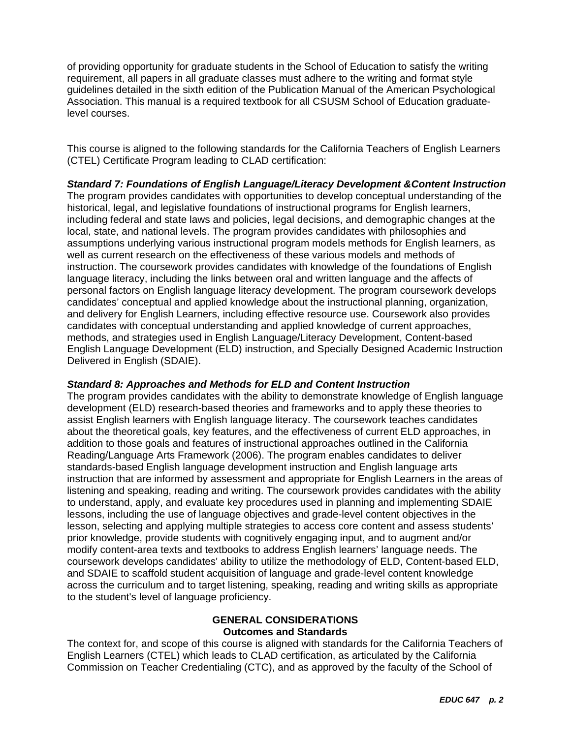of providing opportunity for graduate students in the School of Education to satisfy the writing requirement, all papers in all graduate classes must adhere to the writing and format style guidelines detailed in the sixth edition of the Publication Manual of the American Psychological Association. This manual is a required textbook for all CSUSM School of Education graduatelevel courses.

This course is aligned to the following standards for the California Teachers of English Learners (CTEL) Certificate Program leading to CLAD certification:

*Standard 7: Foundations of English Language/Literacy Development &Content Instruction*  The program provides candidates with opportunities to develop conceptual understanding of the historical, legal, and legislative foundations of instructional programs for English learners, including federal and state laws and policies, legal decisions, and demographic changes at the local, state, and national levels. The program provides candidates with philosophies and assumptions underlying various instructional program models methods for English learners, as well as current research on the effectiveness of these various models and methods of instruction. The coursework provides candidates with knowledge of the foundations of English language literacy, including the links between oral and written language and the affects of personal factors on English language literacy development. The program coursework develops candidates' conceptual and applied knowledge about the instructional planning, organization, and delivery for English Learners, including effective resource use. Coursework also provides candidates with conceptual understanding and applied knowledge of current approaches, methods, and strategies used in English Language/Literacy Development, Content-based English Language Development (ELD) instruction, and Specially Designed Academic Instruction Delivered in English (SDAIE).

### *Standard 8: Approaches and Methods for ELD and Content Instruction*

The program provides candidates with the ability to demonstrate knowledge of English language development (ELD) research-based theories and frameworks and to apply these theories to assist English learners with English language literacy. The coursework teaches candidates about the theoretical goals, key features, and the effectiveness of current ELD approaches, in addition to those goals and features of instructional approaches outlined in the California Reading/Language Arts Framework (2006). The program enables candidates to deliver standards-based English language development instruction and English language arts instruction that are informed by assessment and appropriate for English Learners in the areas of listening and speaking, reading and writing. The coursework provides candidates with the ability to understand, apply, and evaluate key procedures used in planning and implementing SDAIE lessons, including the use of language objectives and grade-level content objectives in the lesson, selecting and applying multiple strategies to access core content and assess students' prior knowledge, provide students with cognitively engaging input, and to augment and/or modify content-area texts and textbooks to address English learners' language needs. The coursework develops candidates' ability to utilize the methodology of ELD, Content-based ELD, and SDAIE to scaffold student acquisition of language and grade-level content knowledge across the curriculum and to target listening, speaking, reading and writing skills as appropriate to the student's level of language proficiency.

# **GENERAL CONSIDERATIONS Outcomes and Standards**

The context for, and scope of this course is aligned with standards for the California Teachers of English Learners (CTEL) which leads to CLAD certification, as articulated by the California Commission on Teacher Credentialing (CTC), and as approved by the faculty of the School of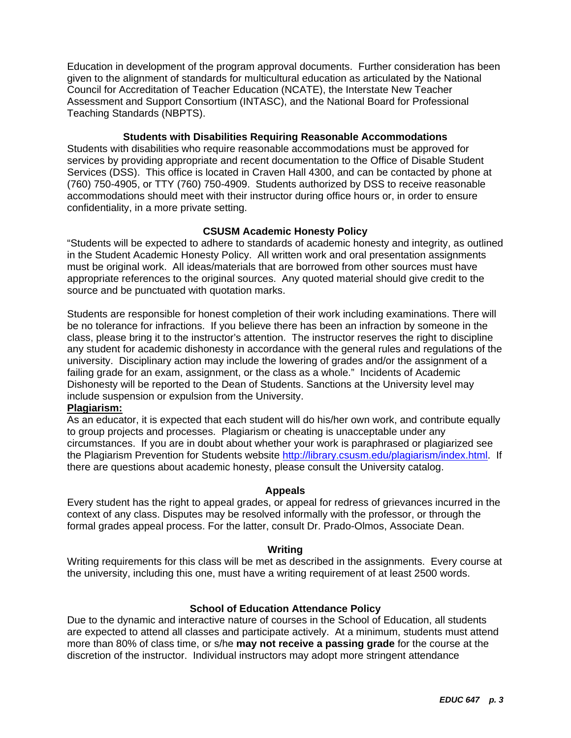Education in development of the program approval documents. Further consideration has been given to the alignment of standards for multicultural education as articulated by the National Council for Accreditation of Teacher Education (NCATE), the Interstate New Teacher Assessment and Support Consortium (INTASC), and the National Board for Professional Teaching Standards (NBPTS).

# **Students with Disabilities Requiring Reasonable Accommodations**

Students with disabilities who require reasonable accommodations must be approved for services by providing appropriate and recent documentation to the Office of Disable Student Services (DSS). This office is located in Craven Hall 4300, and can be contacted by phone at (760) 750-4905, or TTY (760) 750-4909. Students authorized by DSS to receive reasonable accommodations should meet with their instructor during office hours or, in order to ensure confidentiality, in a more private setting.

# **CSUSM Academic Honesty Policy**

"Students will be expected to adhere to standards of academic honesty and integrity, as outlined in the Student Academic Honesty Policy. All written work and oral presentation assignments must be original work. All ideas/materials that are borrowed from other sources must have appropriate references to the original sources. Any quoted material should give credit to the source and be punctuated with quotation marks.

Students are responsible for honest completion of their work including examinations. There will be no tolerance for infractions. If you believe there has been an infraction by someone in the class, please bring it to the instructor's attention. The instructor reserves the right to discipline any student for academic dishonesty in accordance with the general rules and regulations of the university. Disciplinary action may include the lowering of grades and/or the assignment of a failing grade for an exam, assignment, or the class as a whole." Incidents of Academic Dishonesty will be reported to the Dean of Students. Sanctions at the University level may include suspension or expulsion from the University.

### **Plagiarism:**

As an educator, it is expected that each student will do his/her own work, and contribute equally to group projects and processes. Plagiarism or cheating is unacceptable under any circumstances. If you are in doubt about whether your work is paraphrased or plagiarized see the Plagiarism Prevention for Students website http://library.csusm.edu/plagiarism/index.html. If there are questions about academic honesty, please consult the University catalog.

### **Appeals**

Every student has the right to appeal grades, or appeal for redress of grievances incurred in the context of any class. Disputes may be resolved informally with the professor, or through the formal grades appeal process. For the latter, consult Dr. Prado-Olmos, Associate Dean.

### **Writing**

Writing requirements for this class will be met as described in the assignments. Every course at the university, including this one, must have a writing requirement of at least 2500 words.

### **School of Education Attendance Policy**

Due to the dynamic and interactive nature of courses in the School of Education, all students are expected to attend all classes and participate actively. At a minimum, students must attend more than 80% of class time, or s/he **may not receive a passing grade** for the course at the discretion of the instructor. Individual instructors may adopt more stringent attendance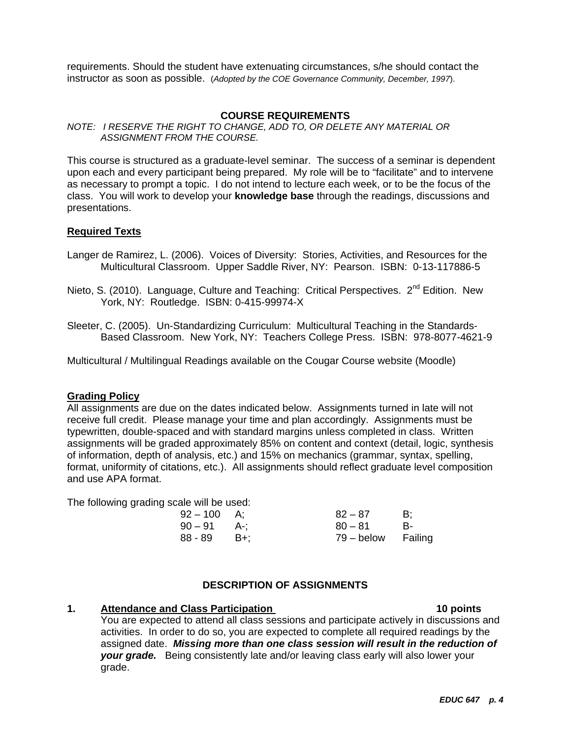requirements. Should the student have extenuating circumstances, s/he should contact the instructor as soon as possible. (*Adopted by the COE Governance Community, December, 1997*).

# **COURSE REQUIREMENTS**

#### *NOTE: I RESERVE THE RIGHT TO CHANGE, ADD TO, OR DELETE ANY MATERIAL OR ASSIGNMENT FROM THE COURSE.*

This course is structured as a graduate-level seminar. The success of a seminar is dependent upon each and every participant being prepared. My role will be to "facilitate" and to intervene as necessary to prompt a topic. I do not intend to lecture each week, or to be the focus of the class. You will work to develop your **knowledge base** through the readings, discussions and presentations.

### **Required Texts**

- Langer de Ramirez, L. (2006). Voices of Diversity: Stories, Activities, and Resources for the Multicultural Classroom. Upper Saddle River, NY: Pearson. ISBN: 0-13-117886-5
- Nieto, S. (2010). Language, Culture and Teaching: Critical Perspectives. 2<sup>nd</sup> Edition. New York, NY: Routledge. ISBN: 0-415-99974-X
- Sleeter, C. (2005). Un-Standardizing Curriculum: Multicultural Teaching in the Standards-Based Classroom. New York, NY: Teachers College Press. ISBN: 978-8077-4621-9

Multicultural / Multilingual Readings available on the Cougar Course website (Moodle)

### **Grading Policy**

All assignments are due on the dates indicated below. Assignments turned in late will not receive full credit. Please manage your time and plan accordingly. Assignments must be typewritten, double-spaced and with standard margins unless completed in class. Written assignments will be graded approximately 85% on content and context (detail, logic, synthesis of information, depth of analysis, etc.) and 15% on mechanics (grammar, syntax, spelling, format, uniformity of citations, etc.). All assignments should reflect graduate level composition and use APA format.

The following grading scale will be used:

| $92 - 100$ A; |       | $82 - 87$          | B: |
|---------------|-------|--------------------|----|
| $90 - 91$ A-: |       | $80 - 81$          | B- |
| 88 - 89       | – B+: | 79 – below Failing |    |

# **DESCRIPTION OF ASSIGNMENTS**

#### **1.** Attendance and Class Participation

#### 10 points

You are expected to attend all class sessions and participate actively in discussions and activities. In order to do so, you are expected to complete all required readings by the assigned date. *Missing more than one class session will result in the reduction of your grade.* Being consistently late and/or leaving class early will also lower your grade.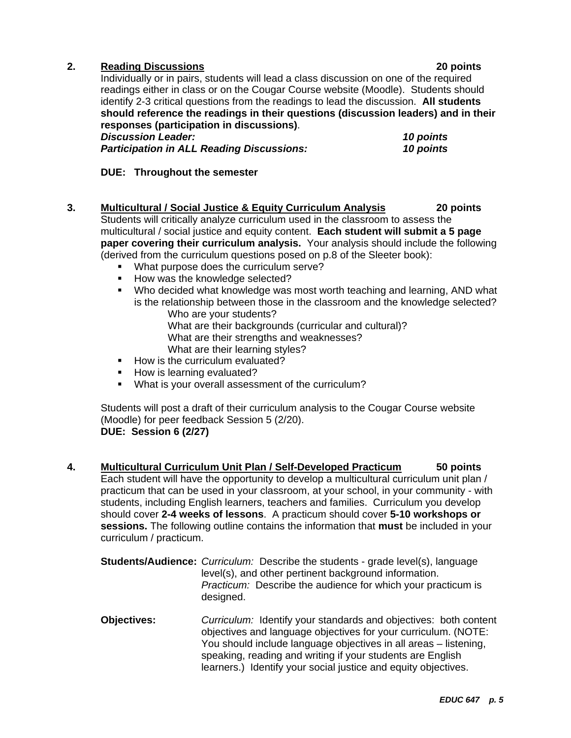# **2. Reading Discussions 20 points**

Individually or in pairs, students will lead a class discussion on one of the required readings either in class or on the Cougar Course website (Moodle). Students should identify 2-3 critical questions from the readings to lead the discussion. **All students should reference the readings in their questions (discussion leaders) and in their responses (participation in discussions)**.

*Discussion Leader: 10 points*  **Participation in ALL Reading Discussions:** 

**DUE: Throughout the semester** 

- **3. Multicultural / Social Justice & Equity Curriculum Analysis 20 points**  Students will critically analyze curriculum used in the classroom to assess the multicultural / social justice and equity content. **Each student will submit a 5 page paper covering their curriculum analysis.** Your analysis should include the following (derived from the curriculum questions posed on p.8 of the Sleeter book):
	- **What purpose does the curriculum serve?**
	- How was the knowledge selected?
	- Who decided what knowledge was most worth teaching and learning, AND what is the relationship between those in the classroom and the knowledge selected? Who are your students?
		- What are their backgrounds (curricular and cultural)? What are their strengths and weaknesses?
		- What are their learning styles?
	- How is the curriculum evaluated?
	- How is learning evaluated?
	- What is your overall assessment of the curriculum?

 (Moodle) for peer feedback Session 5 (2/20). Students will post a draft of their curriculum analysis to the Cougar Course website **DUE: Session 6 (2/27)** 

- **4. Multicultural Curriculum Unit Plan / Self-Developed Practicum 50 points**  Each student will have the opportunity to develop a multicultural curriculum unit plan / practicum that can be used in your classroom, at your school, in your community - with students, including English learners, teachers and families. Curriculum you develop should cover **2-4 weeks of lessons**. A practicum should cover **5-10 workshops or sessions.** The following outline contains the information that **must** be included in your curriculum / practicum.
	- **Students/Audience:** *Curriculum:* Describe the students grade level(s), language *Practicum:* Describe the audience for which your practicum is level(s), and other pertinent background information. designed.
	- **Objectives:** *Curriculum:* Identify your standards and objectives: both content objectives and language objectives for your curriculum. (NOTE: You should include language objectives in all areas – listening, speaking, reading and writing if your students are English learners.) Identify your social justice and equity objectives.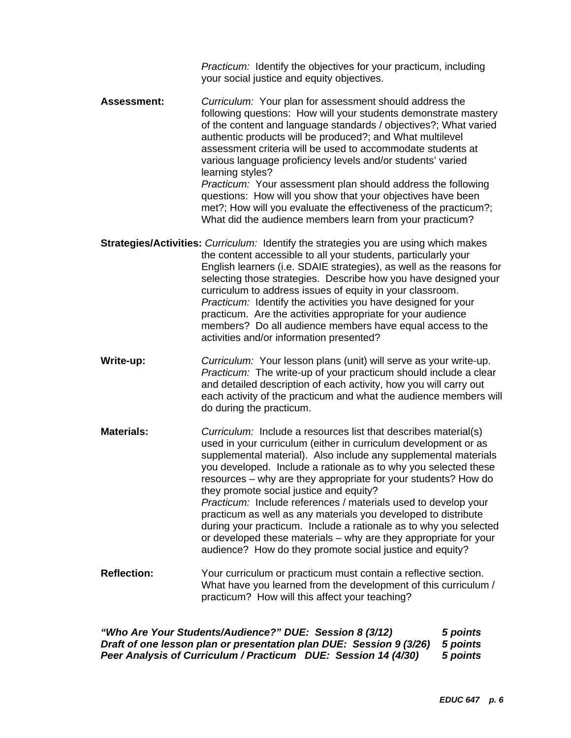*Practicum:* Identify the objectives for your practicum, including your social justice and equity objectives.

 *Practicum:* Your assessment plan should address the following **Assessment:** *Curriculum:* Your plan for assessment should address the following questions: How will your students demonstrate mastery of the content and language standards / objectives?; What varied authentic products will be produced?; and What multilevel assessment criteria will be used to accommodate students at various language proficiency levels and/or students' varied learning styles?

questions: How will you show that your objectives have been met?; How will you evaluate the effectiveness of the practicum?; What did the audience members learn from your practicum?

 **Strategies/Activities:** *Curriculum:* Identify the strategies you are using which makes the content accessible to all your students, particularly your English learners (i.e. SDAIE strategies), as well as the reasons for selecting those strategies. Describe how you have designed your curriculum to address issues of equity in your classroom. *Practicum:* Identify the activities you have designed for your practicum. Are the activities appropriate for your audience members? Do all audience members have equal access to the activities and/or information presented?

Practicum: The write-up of your practicum should include a clear do during the practicum. **Write-up:** *Curriculum:* Your lesson plans (unit) will serve as your write-up. and detailed description of each activity, how you will carry out each activity of the practicum and what the audience members will

**Materials:** *Curriculum:* Include a resources list that describes material(s) used in your curriculum (either in curriculum development or as supplemental material). Also include any supplemental materials you developed. Include a rationale as to why you selected these resources – why are they appropriate for your students? How do they promote social justice and equity?  *Practicum:* Include references / materials used to develop your practicum as well as any materials you developed to distribute during your practicum. Include a rationale as to why you selected or developed these materials – why are they appropriate for your audience? How do they promote social justice and equity?

**Reflection:** Your curriculum or practicum must contain a reflective section. What have you learned from the development of this curriculum / practicum? How will this affect your teaching?

*"Who Are Your Students/Audience?" DUE: Session 8 (3/12) 5 points Draft of one lesson plan or presentation plan DUE: Session 9 (3/26) 5 points Peer Analysis of Curriculum / Practicum DUE: Session 14 (4/30)* 5 points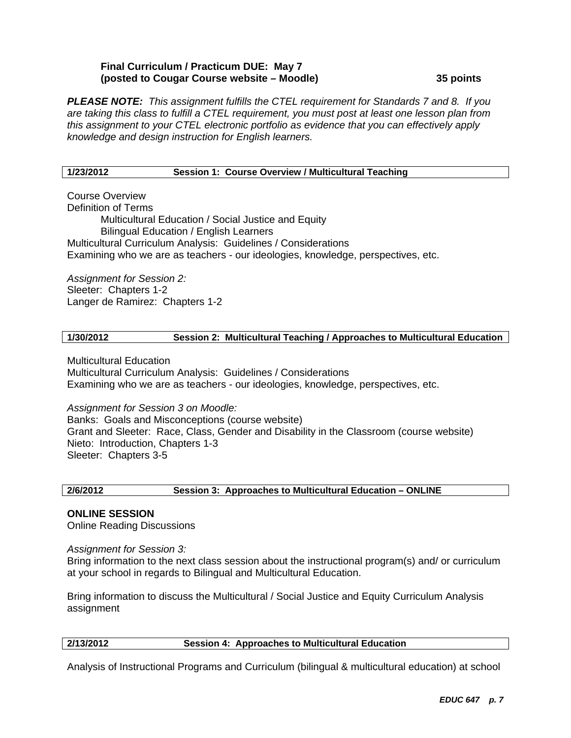### **Final Curriculum / Practicum DUE: May 7 (posted to Cougar Course website – Moodle) 35 points**

*PLEASE NOTE: This assignment fulfills the CTEL requirement for Standards 7 and 8. If you are taking this class to fulfill a CTEL requirement, you must post at least one lesson plan from this assignment to your CTEL electronic portfolio as evidence that you can effectively apply knowledge and design instruction for English learners.* 

#### **1/23/2012 Session 1: Course Overview / Multicultural Teaching**

Course Overview Definition of Terms Multicultural Education / Social Justice and Equity Bilingual Education / English Learners Multicultural Curriculum Analysis: Guidelines / Considerations Examining who we are as teachers - our ideologies, knowledge, perspectives, etc.

*Assignment for Session 2:*  Sleeter: Chapters 1-2 Langer de Ramirez: Chapters 1-2

### **1/30/2012 Session 2: Multicultural Teaching / Approaches to Multicultural Education**

Multicultural Education Multicultural Curriculum Analysis: Guidelines / Considerations Examining who we are as teachers - our ideologies, knowledge, perspectives, etc.

*Assignment for Session 3 on Moodle:* 

Banks: Goals and Misconceptions (course website) Grant and Sleeter: Race, Class, Gender and Disability in the Classroom (course website) Nieto: Introduction, Chapters 1-3 Sleeter: Chapters 3-5

#### **2/6/2012 Session 3: Approaches to Multicultural Education – ONLINE**

# **ONLINE SESSION**

Online Reading Discussions

*Assignment for Session 3:* 

Bring information to the next class session about the instructional program(s) and/ or curriculum at your school in regards to Bilingual and Multicultural Education.

Bring information to discuss the Multicultural / Social Justice and Equity Curriculum Analysis assignment

### **2/13/2012 Session 4: Approaches to Multicultural Education**

Analysis of Instructional Programs and Curriculum (bilingual & multicultural education) at school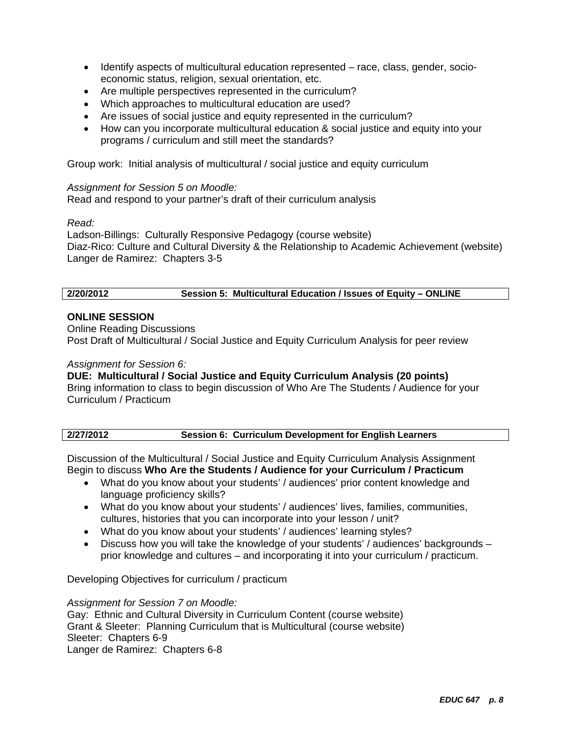- Identify aspects of multicultural education represented race, class, gender, socioeconomic status, religion, sexual orientation, etc.
- Are multiple perspectives represented in the curriculum?
- Which approaches to multicultural education are used?
- Are issues of social justice and equity represented in the curriculum?
- How can you incorporate multicultural education & social justice and equity into your programs / curriculum and still meet the standards?

Group work: Initial analysis of multicultural / social justice and equity curriculum

### *Assignment for Session 5 on Moodle:*

Read and respond to your partner's draft of their curriculum analysis

# *Read:*

Ladson-Billings: Culturally Responsive Pedagogy (course website) Diaz-Rico: Culture and Cultural Diversity & the Relationship to Academic Achievement (website) Langer de Ramirez: Chapters 3-5

# **2/20/2012 Session 5: Multicultural Education / Issues of Equity – ONLINE**

# **ONLINE SESSION**

Online Reading Discussions Post Draft of Multicultural / Social Justice and Equity Curriculum Analysis for peer review

### *Assignment for Session 6:*

**DUE: Multicultural / Social Justice and Equity Curriculum Analysis (20 points)**  Bring information to class to begin discussion of Who Are The Students / Audience for your Curriculum / Practicum

| 2/27/2012 |  | Session 6: Curriculum Development for English Learners |
|-----------|--|--------------------------------------------------------|
|           |  |                                                        |

Discussion of the Multicultural / Social Justice and Equity Curriculum Analysis Assignment Begin to discuss **Who Are the Students / Audience for your Curriculum / Practicum** 

- What do you know about your students' / audiences' prior content knowledge and language proficiency skills?
- What do you know about your students' / audiences' lives, families, communities, cultures, histories that you can incorporate into your lesson / unit?
- What do you know about your students' / audiences' learning styles?
- Discuss how you will take the knowledge of your students' / audiences' backgrounds prior knowledge and cultures – and incorporating it into your curriculum / practicum.

Developing Objectives for curriculum / practicum

# *Assignment for Session 7 on Moodle:*

Gay: Ethnic and Cultural Diversity in Curriculum Content (course website) Grant & Sleeter: Planning Curriculum that is Multicultural (course website) Sleeter: Chapters 6-9 Langer de Ramirez: Chapters 6-8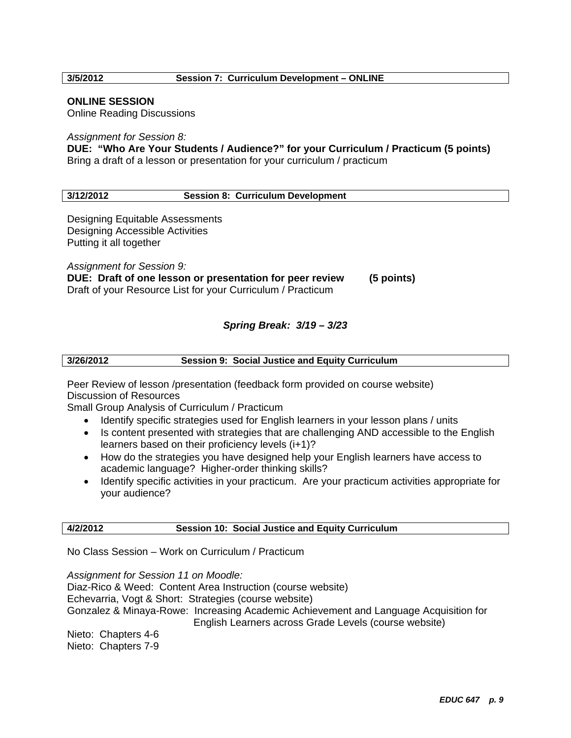#### **3/5/2012 Session 7: Curriculum Development – ONLINE**

#### **ONLINE SESSION**

Online Reading Discussions

*Assignment for Session 8:* 

**DUE: "Who Are Your Students / Audience?" for your Curriculum / Practicum (5 points)**  Bring a draft of a lesson or presentation for your curriculum / practicum

#### **3/12/2012 Session 8: Curriculum Development**

Designing Equitable Assessments Designing Accessible Activities Putting it all together

*Assignment for Session 9:*  **DUE: Draft of one lesson or presentation for peer review (5 points)**  Draft of your Resource List for your Curriculum / Practicum

#### *Spring Break: 3/19 – 3/23*

| 3/26/2012 | <b>Session 9: Social Justice and Equity Curriculum</b> |
|-----------|--------------------------------------------------------|
|           |                                                        |

Peer Review of lesson /presentation (feedback form provided on course website) Discussion of Resources

Small Group Analysis of Curriculum / Practicum

- Identify specific strategies used for English learners in your lesson plans / units
- Is content presented with strategies that are challenging AND accessible to the English learners based on their proficiency levels (i+1)?
- How do the strategies you have designed help your English learners have access to academic language? Higher-order thinking skills?
- Identify specific activities in your practicum. Are your practicum activities appropriate for your audience?

#### **4/2/2012 Session 10: Social Justice and Equity Curriculum**

No Class Session – Work on Curriculum / Practicum

*Assignment for Session 11 on Moodle:*  Diaz-Rico & Weed: Content Area Instruction (course website) Echevarria, Vogt & Short: Strategies (course website) Gonzalez & Minaya-Rowe: Increasing Academic Achievement and Language Acquisition for English Learners across Grade Levels (course website) Nieto: Chapters 4-6 Nieto: Chapters 7-9